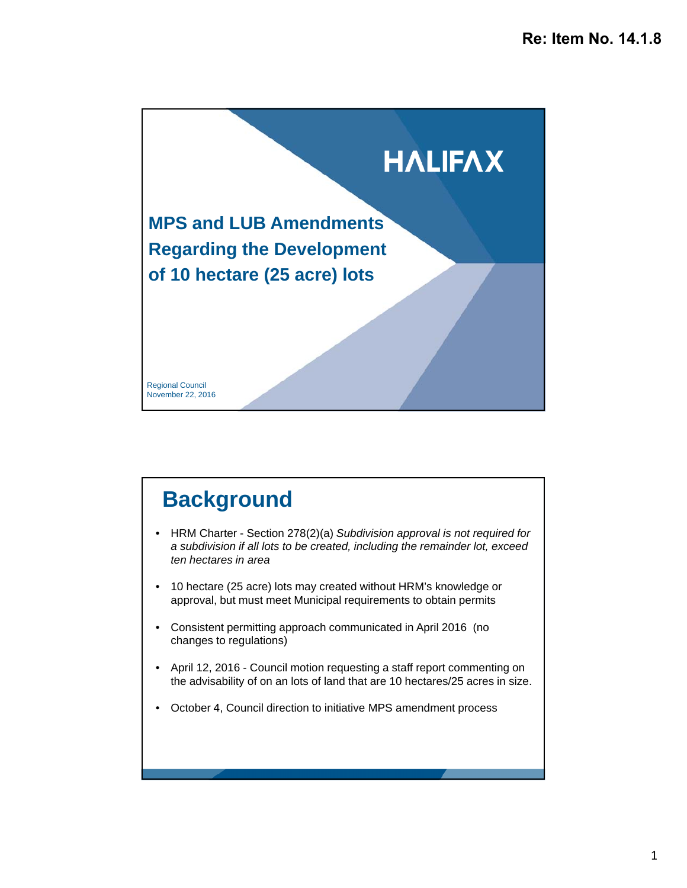

# **Background**

- HRM Charter Section 278(2)(a) *Subdivision approval is not required for a subdivision if all lots to be created, including the remainder lot, exceed ten hectares in area*
- 10 hectare (25 acre) lots may created without HRM's knowledge or approval, but must meet Municipal requirements to obtain permits
- Consistent permitting approach communicated in April 2016 (no changes to regulations)
- April 12, 2016 Council motion requesting a staff report commenting on the advisability of on an lots of land that are 10 hectares/25 acres in size.
- October 4, Council direction to initiative MPS amendment process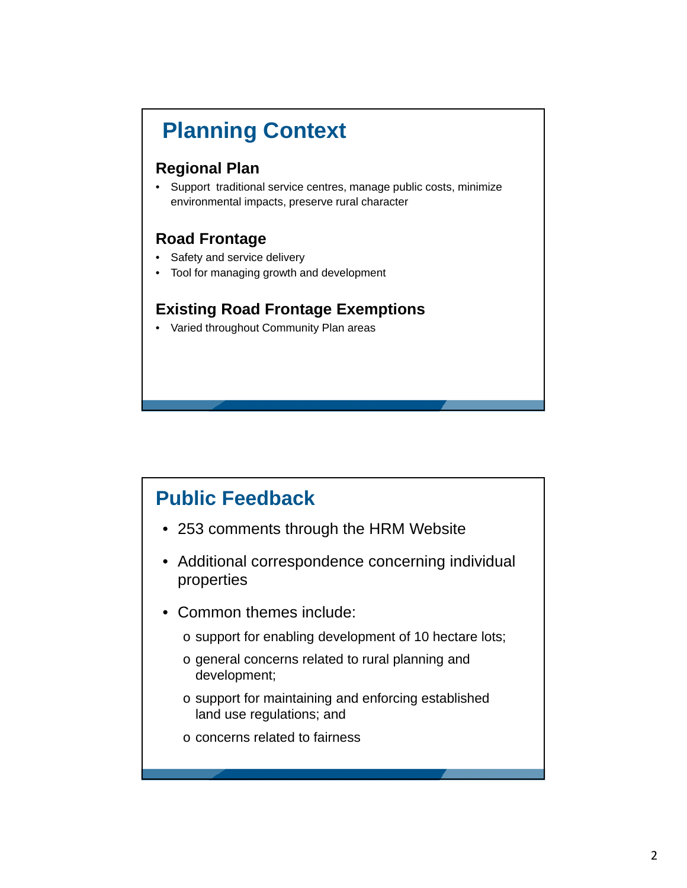# **Planning Context**

#### **Regional Plan**

• Support traditional service centres, manage public costs, minimize environmental impacts, preserve rural character

#### **Road Frontage**

- Safety and service delivery
- Tool for managing growth and development

#### **Existing Road Frontage Exemptions**

• Varied throughout Community Plan areas

### **Public Feedback**

- 253 comments through the HRM Website
- Additional correspondence concerning individual properties
- Common themes include:
	- o support for enabling development of 10 hectare lots;
	- o general concerns related to rural planning and development;
	- o support for maintaining and enforcing established land use regulations; and
	- o concerns related to fairness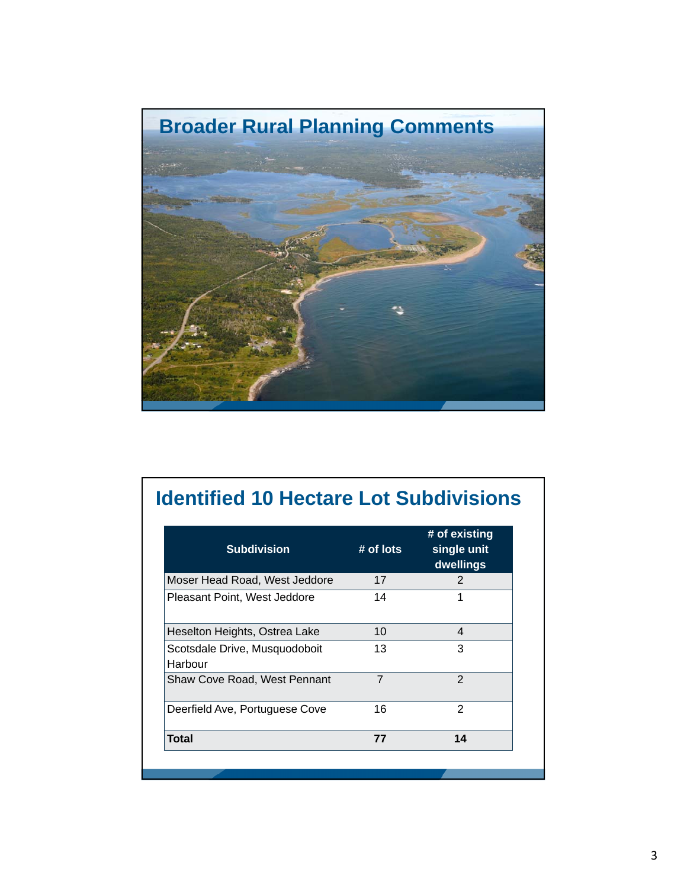

## **Identified 10 Hectare Lot Subdivisions**

| <b>Subdivision</b>                       | $#$ of lots    | # of existing<br>single unit<br>dwellings |
|------------------------------------------|----------------|-------------------------------------------|
| Moser Head Road, West Jeddore            | 17             | 2                                         |
| Pleasant Point, West Jeddore             | 14             |                                           |
| Heselton Heights, Ostrea Lake            | 10             | 4                                         |
| Scotsdale Drive, Musquodoboit<br>Harbour | 13             | 3                                         |
| <b>Shaw Cove Road, West Pennant</b>      | $\overline{7}$ | $\mathcal{P}$                             |
| Deerfield Ave, Portuguese Cove           | 16             | 2                                         |
| <b>Total</b>                             | 77             | 14                                        |
|                                          |                |                                           |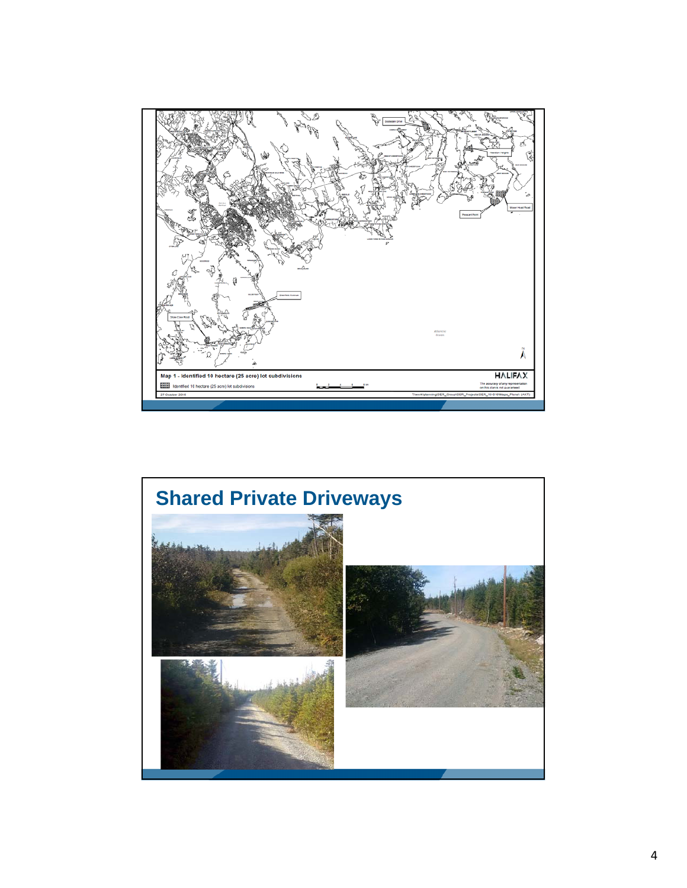

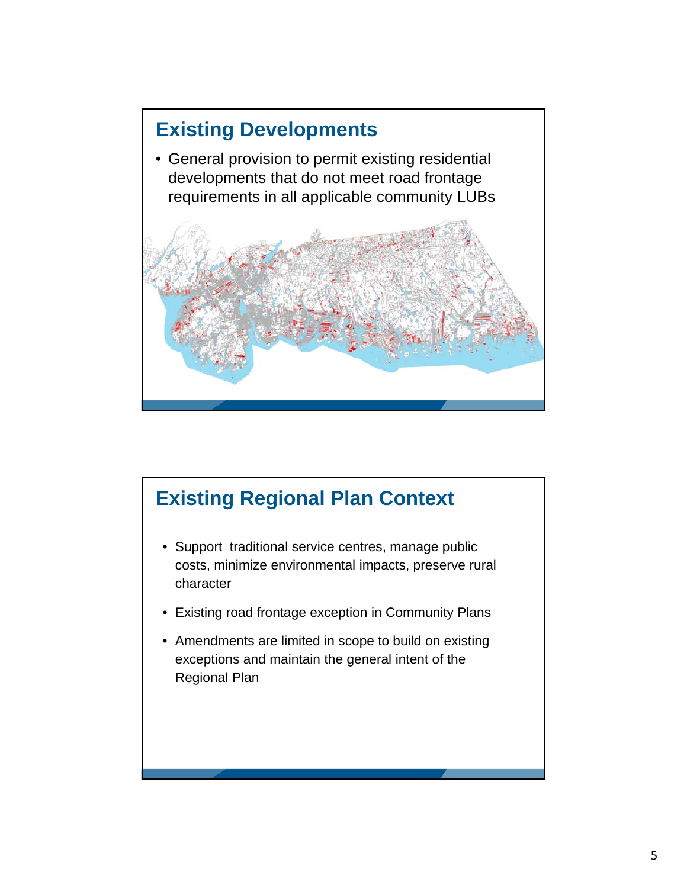

### **Existing Regional Plan Context**

- Support traditional service centres, manage public costs, minimize environmental impacts, preserve rural character
- Existing road frontage exception in Community Plans
- Amendments are limited in scope to build on existing exceptions and maintain the general intent of the Regional Plan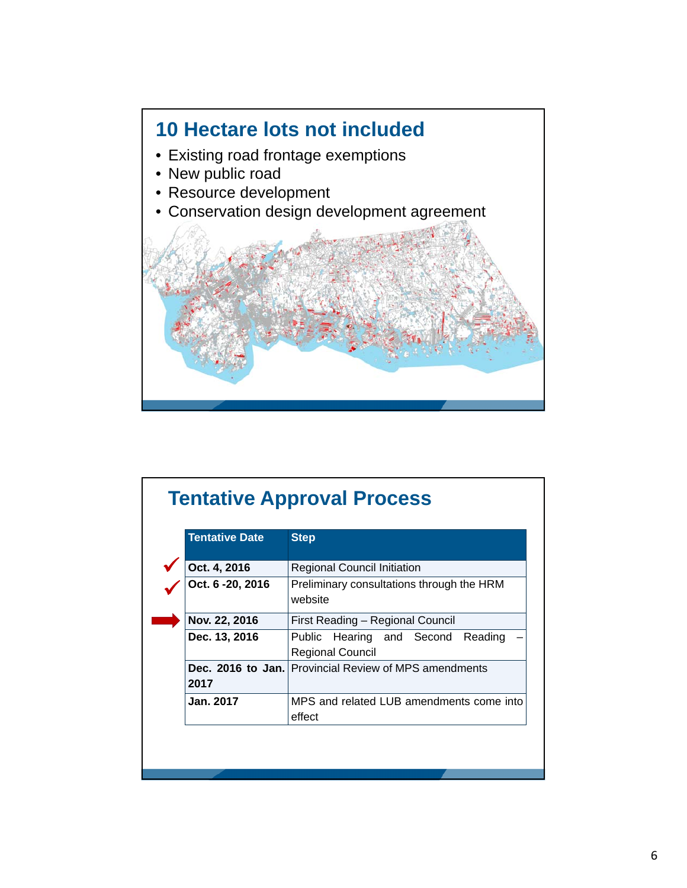

| <b>Tentative Date</b> | <b>Step</b>                                                               |  |  |
|-----------------------|---------------------------------------------------------------------------|--|--|
| Oct. 4, 2016          | <b>Regional Council Initiation</b>                                        |  |  |
| Oct. 6 - 20, 2016     | Preliminary consultations through the HRM<br>website                      |  |  |
| Nov. 22, 2016         | First Reading - Regional Council                                          |  |  |
| Dec. 13, 2016         | Hearing and Second<br><b>Public</b><br>Reading<br><b>Regional Council</b> |  |  |
| 2017                  | Dec. 2016 to Jan. Provincial Review of MPS amendments                     |  |  |
| Jan. 2017             | MPS and related LUB amendments come into<br>effect                        |  |  |